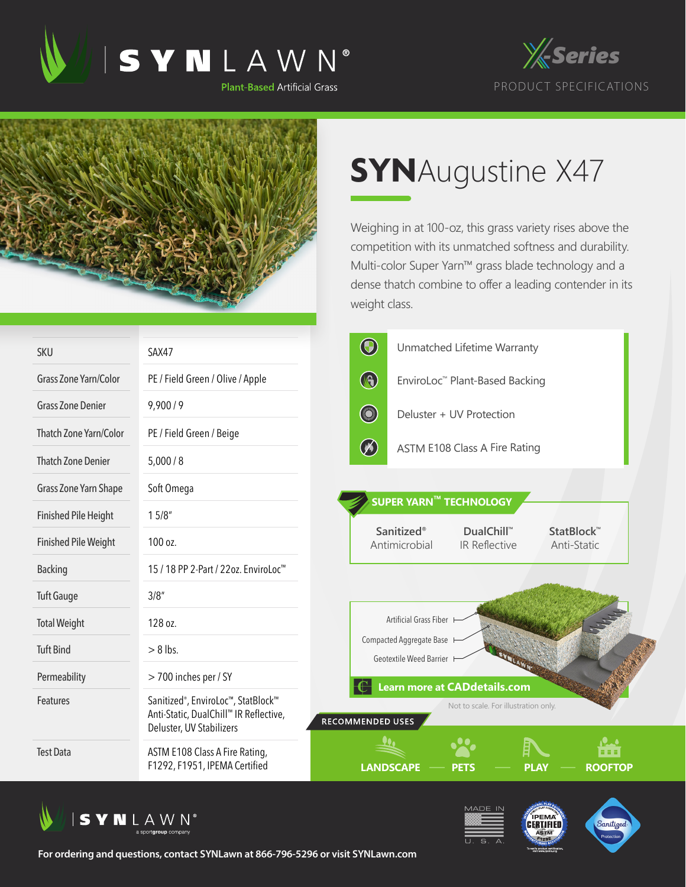





## **SYN**Augustine X47

Weighing in at 100-oz, this grass variety rises above the competition with its unmatched softness and durability. Multi-color Super Yarn™ grass blade technology and a dense thatch combine to offer a leading contender in its weight class.

| <b>SKU</b>                  | SAX47                                                                                                                 | $\bigcirc$<br>Unmatched Lifetime Warranty                                                      |
|-----------------------------|-----------------------------------------------------------------------------------------------------------------------|------------------------------------------------------------------------------------------------|
| Grass Zone Yarn/Color       | PE / Field Green / Olive / Apple                                                                                      | $\bigcirc$<br>EnviroLoc™ Plant-Based Backing                                                   |
| <b>Grass Zone Denier</b>    | 9,900/9                                                                                                               | <b>Company</b><br>Deluster + UV Protection                                                     |
| Thatch Zone Yarn/Color      | PE / Field Green / Beige                                                                                              |                                                                                                |
| <b>Thatch Zone Denier</b>   | 5,000/8                                                                                                               | $\oslash$<br>ASTM E108 Class A Fire Rating                                                     |
| Grass Zone Yarn Shape       | Soft Omega                                                                                                            |                                                                                                |
| <b>Finished Pile Height</b> | 15/8"                                                                                                                 | <b>SUPER YARN™ TECHNOLOGY</b>                                                                  |
| <b>Finished Pile Weight</b> | 100 oz.                                                                                                               | <b>Sanitized®</b><br>DualChill™<br>StatBlock™<br>Antimicrobial<br>IR Reflective<br>Anti-Static |
| <b>Backing</b>              | 15 / 18 PP 2-Part / 22oz. EnviroLoc <sup>™</sup>                                                                      |                                                                                                |
| <b>Tuft Gauge</b>           | 3/8''                                                                                                                 |                                                                                                |
| <b>Total Weight</b>         | 128 oz.                                                                                                               | Artificial Grass Fiber                                                                         |
| <b>Tuft Bind</b>            | $> 8$ lbs.                                                                                                            | Compacted Aggregate Base I<br>Geotextile Weed Barrier H                                        |
| Permeability                | > 700 inches per / SY                                                                                                 | <b>Learn more at CADdetails.com</b>                                                            |
| <b>Features</b>             | Sanitized <sup>®</sup> , EnviroLoc™, StatBlock™<br>Anti-Static, DualChill™ IR Reflective,<br>Deluster, UV Stabilizers | Not to scale. For illustration only.<br>RECOMMENDED USES                                       |
| <b>Test Data</b>            | ASTM E108 Class A Fire Rating,<br>F1292, F1951, IPEMA Certified                                                       | <b>LANDSCAPE</b><br><b>ROOFTOP</b><br>PLA\<br>PETS                                             |







**For ordering and questions, contact SYNLawn at 866-796-5296 or visit SYNLawn.com**